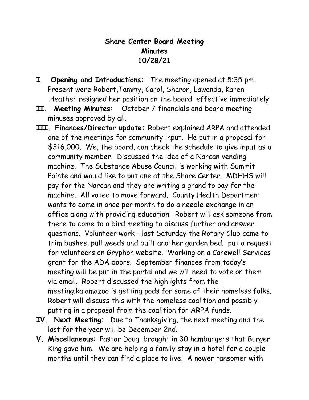## **Share Center Board Meeting Minutes 10/28/21**

- **I. Opening and Introductions:** The meeting opened at 5:35 pm. Present were Robert,Tammy, Carol, Sharon, Lawanda, Karen Heather resigned her position on the board effective immediately
- **II. Meeting Minutes:** October 7 financials and board meeting minuses approved by all.
- **III. Finances/Director update:** Robert explained ARPA and attended one of the meetings for community input. He put in a proposal for \$316,000. We, the board, can check the schedule to give input as a community member. Discussed the idea of a Narcan vending machine. The Substance Abuse Council is working with Summit Pointe and would like to put one at the Share Center. MDHHS will pay for the Narcan and they are writing a grand to pay for the machine. All voted to move forward. County Health Department wants to come in once per month to do a needle exchange in an office along with providing education. Robert will ask someone from there to come to a bird meeting to discuss further and answer questions. Volunteer work - last Saturday the Rotary Club came to trim bushes, pull weeds and built another garden bed. put a request for volunteers on Gryphon website. Working on a Carewell Services grant for the ADA doors. September finances from today's meeting will be put in the portal and we will need to vote on them via email. Robert discussed the highlights from the meeting.kalamazoo is getting pods for some of their homeless folks. Robert will discuss this with the homeless coalition and possibly putting in a proposal from the coalition for ARPA funds.
- **IV. Next Meeting:** Due to Thanksgiving, the next meeting and the last for the year will be December 2nd.
- **V. Miscellaneous**: Pastor Doug brought in 30 hamburgers that Burger King gave him. We are helping a family stay in a hotel for a couple months until they can find a place to live. A newer ransomer with